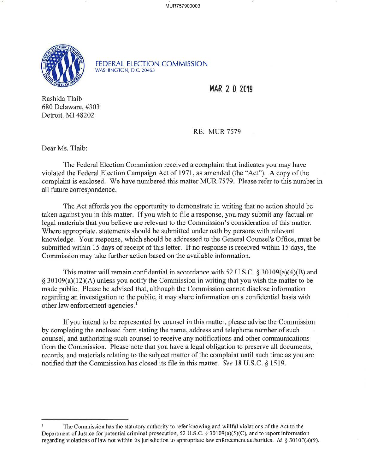MUR757900003



FEDERAL ELECTION COMMISSION WASHINGTON, D.C. 20463

**MAR 2 0 2019** 

Rashida Tlaib 680 Delaware, #303 Detroit, MI 48202

RE: MUR 7579

Dear Ms. Tlaib:

The Federal Election Commission received a complaint that indicates you may have violated the Federal Election Campaign Act of 1971, as amended (the "Act"). A copy of the complaint is enclosed. We have numbered this matter MUR 7579. Please refer to this number in all future correspondence.

The Act affords you the opportunity to demonstrate in writing that no action should be taken against you in this matter. If you wish to file a response, you may submit any factual or legal materials that you believe are relevant to the Commission's consideration of this matter. Where appropriate, statements should be submitted under oath by persons with relevant knowledge. Your response, which should be addressed to the General Counsel's Office, must be submitted within 15 days of receipt of this letter. If no response is received within 15 days, the Commission may take further action based on the available information.

This matter will remain confidential in accordance with 52 U.S.C. § 30109(a)(4)(B) and § 30109(a)(l2)(A) unless you notify the Commission in writing that you wish the matter to be made public. Please be advised that, although the Commission cannot disclose information regarding an investigation to the public, it may share information on a confidential basis with other law enforcement agencies.<sup>1</sup>

Ifyou intend to be represented by counsel in this matter, please advise the Commission by completing the enclosed form stating the name, address and telephone number of such counsel, and authorizing such counsel to receive any notifications and other communications from the Commission. Please note that you have a legal obligation to preserve all documents, records, and materials relating to the subject matter of the complaint until such time as you are notified that the Commission has closed its file in this matter. *See* 18 U.S.C. § 1519.

The Commission has the statutory authority to refer knowing and willful violations ofthe Act to the Department of Justice for potential criminal prosecution, 52 U.S.C. § 30109(a)(5)(C), and to report information regarding violations oflaw not within its jurisdiction to appropriate law enforcement authorities. *Id* § 30I 07(a)(9).